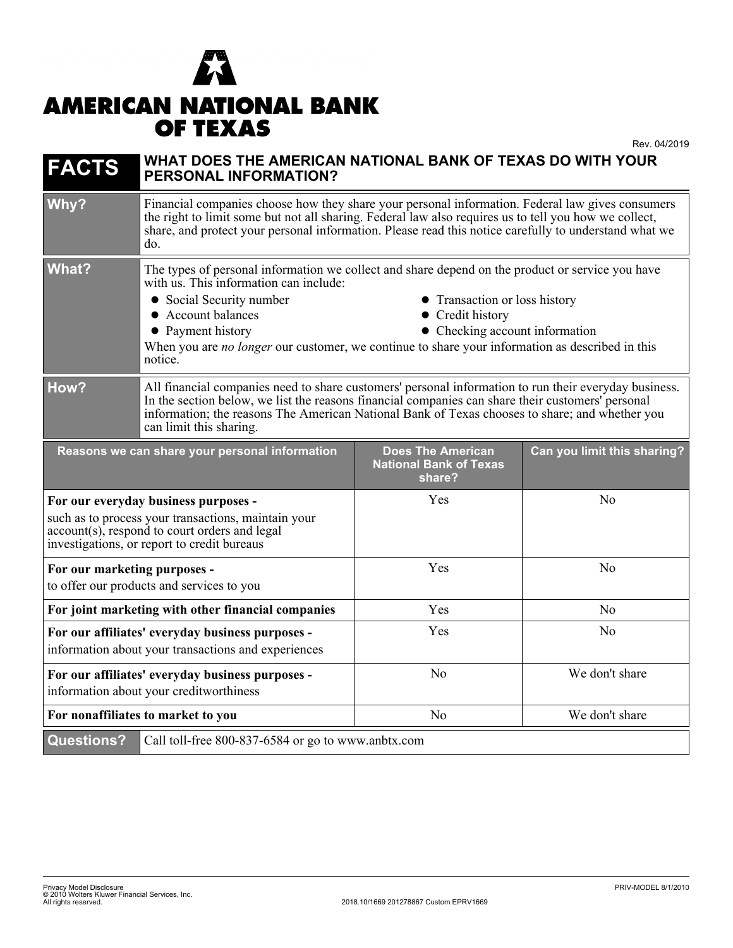## $\boldsymbol{K}$ **AMERICAN NATIONAL BANK OF TEXAS**

Rev. 04/2019

| <b>FACTS</b>                                                                                                                                                                                | WHAT DOES THE AMERICAN NATIONAL BANK OF TEXAS DO WITH YOUR<br><b>PERSONAL INFORMATION?</b>                                                                                                                                                                                                                                                                                                                             |                                                                     |                             |
|---------------------------------------------------------------------------------------------------------------------------------------------------------------------------------------------|------------------------------------------------------------------------------------------------------------------------------------------------------------------------------------------------------------------------------------------------------------------------------------------------------------------------------------------------------------------------------------------------------------------------|---------------------------------------------------------------------|-----------------------------|
| Why?                                                                                                                                                                                        | Financial companies choose how they share your personal information. Federal law gives consumers<br>the right to limit some but not all sharing. Federal law also requires us to tell you how we collect,<br>share, and protect your personal information. Please read this notice carefully to understand what we<br>do.                                                                                              |                                                                     |                             |
| <b>What?</b>                                                                                                                                                                                | The types of personal information we collect and share depend on the product or service you have<br>with us. This information can include:<br>• Social Security number<br>• Transaction or loss history<br>• Account balances<br>• Credit history<br>• Payment history<br>• Checking account information<br>When you are no longer our customer, we continue to share your information as described in this<br>notice. |                                                                     |                             |
| How?                                                                                                                                                                                        | All financial companies need to share customers' personal information to run their everyday business.<br>In the section below, we list the reasons financial companies can share their customers' personal<br>information; the reasons The American National Bank of Texas chooses to share; and whether you<br>can limit this sharing.                                                                                |                                                                     |                             |
|                                                                                                                                                                                             | Reasons we can share your personal information                                                                                                                                                                                                                                                                                                                                                                         | <b>Does The American</b><br><b>National Bank of Texas</b><br>share? | Can you limit this sharing? |
| For our everyday business purposes -<br>such as to process your transactions, maintain your<br>account(s), respond to court orders and legal<br>investigations, or report to credit bureaus |                                                                                                                                                                                                                                                                                                                                                                                                                        | Yes                                                                 | No                          |
| For our marketing purposes -<br>to offer our products and services to you                                                                                                                   |                                                                                                                                                                                                                                                                                                                                                                                                                        | Yes                                                                 | No                          |
| For joint marketing with other financial companies                                                                                                                                          |                                                                                                                                                                                                                                                                                                                                                                                                                        | Yes                                                                 | N <sub>o</sub>              |
| For our affiliates' everyday business purposes -<br>information about your transactions and experiences                                                                                     |                                                                                                                                                                                                                                                                                                                                                                                                                        | Yes                                                                 | N <sub>0</sub>              |
| For our affiliates' everyday business purposes -<br>information about your creditworthiness                                                                                                 |                                                                                                                                                                                                                                                                                                                                                                                                                        | N <sub>o</sub>                                                      | We don't share              |
| For nonaffiliates to market to you                                                                                                                                                          |                                                                                                                                                                                                                                                                                                                                                                                                                        | N <sub>o</sub>                                                      | We don't share              |
| <b>Questions?</b>                                                                                                                                                                           | Call toll-free 800-837-6584 or go to www.anbtx.com                                                                                                                                                                                                                                                                                                                                                                     |                                                                     |                             |